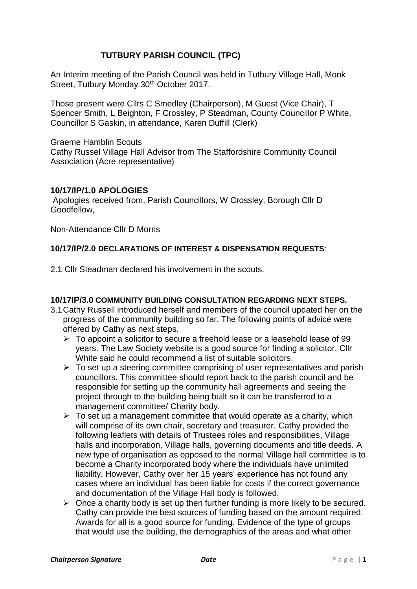# **TUTBURY PARISH COUNCIL (TPC)**

An Interim meeting of the Parish Council was held in Tutbury Village Hall, Monk Street, Tutbury Monday 30<sup>th</sup> October 2017.

Those present were Cllrs C Smedley (Chairperson), M Guest (Vice Chair), T Spencer Smith, L Beighton, F Crossley, P Steadman, County Councillor P White, Councillor S Gaskin, in attendance, Karen Duffill (Clerk)

Graeme Hamblin Scouts Cathy Russel Village Hall Advisor from The Staffordshire Community Council Association (Acre representative)

# **10/17/IP/1.0 APOLOGIES**

Apologies received from, Parish Councillors, W Crossley, Borough Cllr D Goodfellow,

Non-Attendance Cllr D Morris

# **10/17/IP/2.0 DECLARATIONS OF INTEREST & DISPENSATION REQUESTS**:

2.1 Cllr Steadman declared his involvement in the scouts.

## **10/17IP/3.0 COMMUNITY BUILDING CONSULTATION REGARDING NEXT STEPS.**

- 3.1Cathy Russell introduced herself and members of the council updated her on the progress of the community building so far. The following points of advice were offered by Cathy as next steps.
	- $\triangleright$  To appoint a solicitor to secure a freehold lease or a leasehold lease of 99 years. The Law Society website is a good source for finding a solicitor. Cllr White said he could recommend a list of suitable solicitors.
	- $\triangleright$  To set up a steering committee comprising of user representatives and parish councillors. This committee should report back to the parish council and be responsible for setting up the community hall agreements and seeing the project through to the building being built so it can be transferred to a management committee/ Charity body.
	- $\triangleright$  To set up a management committee that would operate as a charity, which will comprise of its own chair, secretary and treasurer. Cathy provided the following leaflets with details of Trustees roles and responsibilities, Village halls and incorporation, Village halls, governing documents and title deeds. A new type of organisation as opposed to the normal Village hall committee is to become a Charity incorporated body where the individuals have unlimited liability. However, Cathy over her 15 years' experience has not found any cases where an individual has been liable for costs if the correct governance and documentation of the Village Hall body is followed.
	- $\triangleright$  Once a charity body is set up then further funding is more likely to be secured. Cathy can provide the best sources of funding based on the amount required. Awards for all is a good source for funding. Evidence of the type of groups that would use the building, the demographics of the areas and what other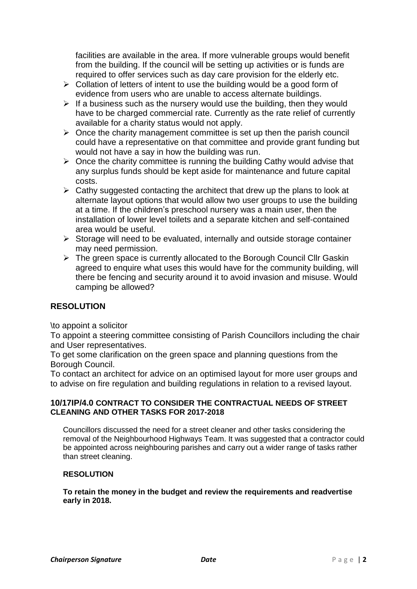facilities are available in the area. If more vulnerable groups would benefit from the building. If the council will be setting up activities or is funds are required to offer services such as day care provision for the elderly etc.

- ➢ Collation of letters of intent to use the building would be a good form of evidence from users who are unable to access alternate buildings.
- $\triangleright$  If a business such as the nursery would use the building, then they would have to be charged commercial rate. Currently as the rate relief of currently available for a charity status would not apply.
- $\triangleright$  Once the charity management committee is set up then the parish council could have a representative on that committee and provide grant funding but would not have a say in how the building was run.
- $\triangleright$  Once the charity committee is running the building Cathy would advise that any surplus funds should be kept aside for maintenance and future capital costs.
- $\triangleright$  Cathy suggested contacting the architect that drew up the plans to look at alternate layout options that would allow two user groups to use the building at a time. If the children's preschool nursery was a main user, then the installation of lower level toilets and a separate kitchen and self-contained area would be useful.
- ➢ Storage will need to be evaluated, internally and outside storage container may need permission.
- ➢ The green space is currently allocated to the Borough Council Cllr Gaskin agreed to enquire what uses this would have for the community building, will there be fencing and security around it to avoid invasion and misuse. Would camping be allowed?

# **RESOLUTION**

\to appoint a solicitor

To appoint a steering committee consisting of Parish Councillors including the chair and User representatives.

To get some clarification on the green space and planning questions from the Borough Council.

To contact an architect for advice on an optimised layout for more user groups and to advise on fire regulation and building regulations in relation to a revised layout.

## **10/17IP/4.0 CONTRACT TO CONSIDER THE CONTRACTUAL NEEDS OF STREET CLEANING AND OTHER TASKS FOR 2017-2018**

Councillors discussed the need for a street cleaner and other tasks considering the removal of the Neighbourhood Highways Team. It was suggested that a contractor could be appointed across neighbouring parishes and carry out a wider range of tasks rather than street cleaning.

# **RESOLUTION**

**To retain the money in the budget and review the requirements and readvertise early in 2018.**